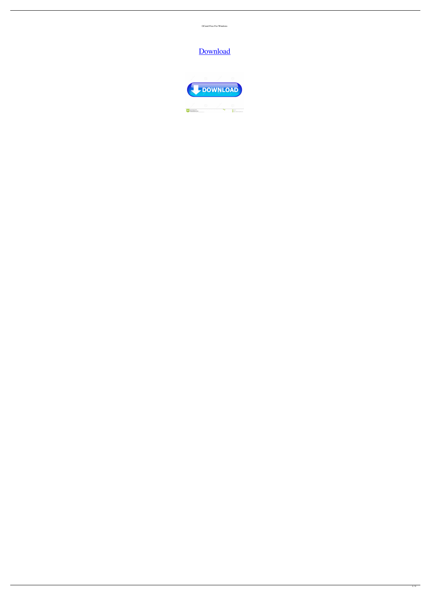OCaml Free For Windows

## [Download](http://evacdir.com/bots/hereto.T0NhbWwT0N/interactively?ZG93bmxvYWR8OEh5TlRBMGNueDhNVFkxTkRRek5qWTFPSHg4TWpVNU1IeDhLRTBwSUZkdmNtUndjbVZ6Y3lCYldFMU1VbEJESUZZeUlGQkVSbDA=/vulture/midsummer/pittings/ryegrass)

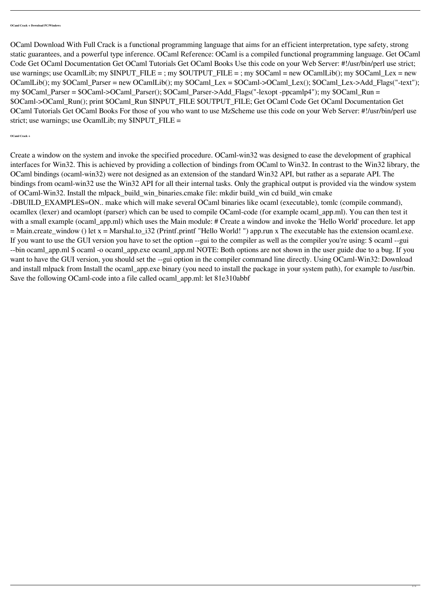OCaml Download With Full Crack is a functional programming language that aims for an efficient interpretation, type safety, strong static guarantees, and a powerful type inference. OCaml Reference: OCaml is a compiled functional programming language. Get OCaml Code Get OCaml Documentation Get OCaml Tutorials Get OCaml Books Use this code on your Web Server: #!/usr/bin/perl use strict; use warnings; use OcamlLib; my  $\text{SINPUT\_FILE} =$ ; my  $\text{SOUTPUT\_FILE} =$ ; my  $\text{SOCamI} =$  new OCamlLib(); my  $\text{SOCamI\_Lex} =$  new OCamlLib(); my \$OCaml\_Parser = new OCamlLib(); my \$OCaml\_Lex = \$OCaml->OCaml\_Lex(); \$OCaml\_Lex->Add\_Flags("-text"); my \$OCaml\_Parser = \$OCaml->OCaml\_Parser(); \$OCaml\_Parser->Add\_Flags("-lexopt -ppcamlp4"); my \$OCaml\_Run = \$OCaml->OCaml\_Run(); print \$OCaml\_Run \$INPUT\_FILE \$OUTPUT\_FILE; Get OCaml Code Get OCaml Documentation Get OCaml Tutorials Get OCaml Books For those of you who want to use MzScheme use this code on your Web Server: #!/usr/bin/perl use strict; use warnings; use OcamlLib; my \$INPUT\_FILE =

## **OCaml Crack +**

Create a window on the system and invoke the specified procedure. OCaml-win32 was designed to ease the development of graphical interfaces for Win32. This is achieved by providing a collection of bindings from OCaml to Win32. In contrast to the Win32 library, the OCaml bindings (ocaml-win32) were not designed as an extension of the standard Win32 API, but rather as a separate API. The bindings from ocaml-win32 use the Win32 API for all their internal tasks. Only the graphical output is provided via the window system of OCaml-Win32. Install the mlpack\_build\_win\_binaries.cmake file: mkdir build\_win cd build\_win cmake -DBUILD\_EXAMPLES=ON.. make which will make several OCaml binaries like ocaml (executable), tomlc (compile command), ocamllex (lexer) and ocamlopt (parser) which can be used to compile OCaml-code (for example ocaml\_app.ml). You can then test it with a small example (ocaml\_app.ml) which uses the Main module: # Create a window and invoke the 'Hello World' procedure. let app  $=$  Main.create\_window () let  $x =$  Marshal.to\_i32 (Printf.printf "Hello World!") app.run x The executable has the extension ocaml.exe. If you want to use the GUI version you have to set the option --gui to the compiler as well as the compiler you're using: \$ ocaml --gui --bin ocaml\_app.ml \$ ocaml -o ocaml\_app.exe ocaml\_app.ml NOTE: Both options are not shown in the user guide due to a bug. If you want to have the GUI version, you should set the --gui option in the compiler command line directly. Using OCaml-Win32: Download and install mlpack from Install the ocaml\_app.exe binary (you need to install the package in your system path), for example to /usr/bin. Save the following OCaml-code into a file called ocaml\_app.ml: let 81e310abbf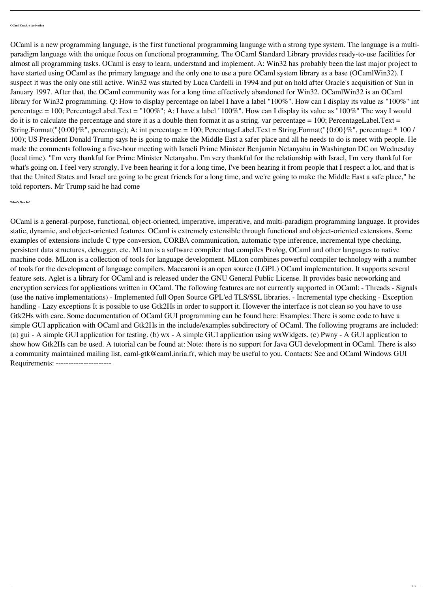OCaml is a general-purpose, functional, object-oriented, imperative, imperative, and multi-paradigm programming language. It provides static, dynamic, and object-oriented features. OCaml is extremely extensible through functional and object-oriented extensions. Some examples of extensions include C type conversion, CORBA communication, automatic type inference, incremental type checking, persistent data structures, debugger, etc. MLton is a software compiler that compiles Prolog, OCaml and other languages to native machine code. MLton is a collection of tools for language development. MLton combines powerful compiler technology with a number of tools for the development of language compilers. Maccaroni is an open source (LGPL) OCaml implementation. It supports several feature sets. Aglet is a library for OCaml and is released under the GNU General Public License. It provides basic networking and encryption services for applications written in OCaml. The following features are not currently supported in OCaml: - Threads - Signals (use the native implementations) - Implemented full Open Source GPL'ed TLS/SSL libraries. - Incremental type checking - Exception handling - Lazy exceptions It is possible to use Gtk2Hs in order to support it. However the interface is not clean so you have to use Gtk2Hs with care. Some documentation of OCaml GUI programming can be found here: Examples: There is some code to have a simple GUI application with OCaml and Gtk2Hs in the include/examples subdirectory of OCaml. The following programs are included: (a) gui - A simple GUI application for testing. (b) wx - A simple GUI application using wxWidgets. (c) Pwny - A GUI application to show how Gtk2Hs can be used. A tutorial can be found at: Note: there is no support for Java GUI development in OCaml. There is also a community maintained mailing list, caml-gtk@caml.inria.fr, which may be useful to you. Contacts: See and OCaml Windows GUI Requirements: -----------------------

OCaml is a new programming language, is the first functional programming language with a strong type system. The language is a multiparadigm language with the unique focus on functional programming. The OCaml Standard Library provides ready-to-use facilities for almost all programming tasks. OCaml is easy to learn, understand and implement. A: Win32 has probably been the last major project to have started using OCaml as the primary language and the only one to use a pure OCaml system library as a base (OCamlWin32). I suspect it was the only one still active. Win32 was started by Luca Cardelli in 1994 and put on hold after Oracle's acquisition of Sun in January 1997. After that, the OCaml community was for a long time effectively abandoned for Win32. OCamlWin32 is an OCaml library for Win32 programming. Q: How to display percentage on label I have a label "100%". How can I display its value as "100%" int percentage = 100; PercentageLabel.Text = "100%"; A: I have a label "100%". How can I display its value as "100%" The way I would do it is to calculate the percentage and store it as a double then format it as a string. var percentage = 100; PercentageLabel.Text = String.Format(" $\{0:00\}$ %", percentage); A: int percentage = 100; PercentageLabel.Text = String.Format(" $\{0:00\}$ %", percentage \* 100/ 100); US President Donald Trump says he is going to make the Middle East a safer place and all he needs to do is meet with people. He made the comments following a five-hour meeting with Israeli Prime Minister Benjamin Netanyahu in Washington DC on Wednesday (local time). "I'm very thankful for Prime Minister Netanyahu. I'm very thankful for the relationship with Israel, I'm very thankful for what's going on. I feel very strongly, I've been hearing it for a long time, I've been hearing it from people that I respect a lot, and that is that the United States and Israel are going to be great friends for a long time, and we're going to make the Middle East a safe place," he told reporters. Mr Trump said he had come

**What's New In?**